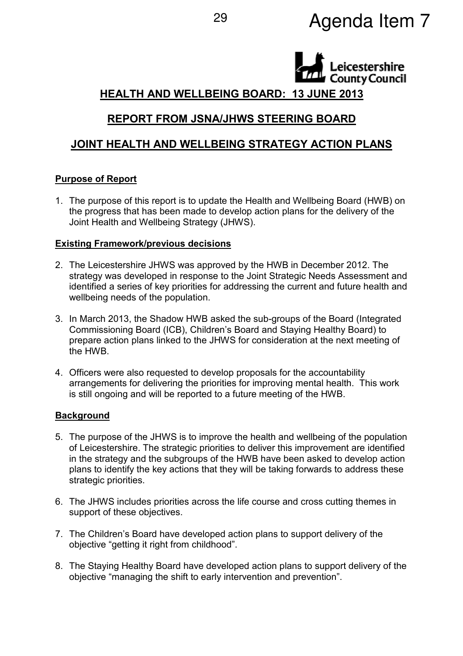# Agenda Item 7 <sup>29</sup>



# HEALTH AND WELLBEING BOARD: 13 JUNE 2013

# REPORT FROM JSNA/JHWS STEERING BOARD

# JOINT HEALTH AND WELLBEING STRATEGY ACTION PLANS

### Purpose of Report

1. The purpose of this report is to update the Health and Wellbeing Board (HWB) on the progress that has been made to develop action plans for the delivery of the Joint Health and Wellbeing Strategy (JHWS).

#### Existing Framework/previous decisions

- 2. The Leicestershire JHWS was approved by the HWB in December 2012. The strategy was developed in response to the Joint Strategic Needs Assessment and identified a series of key priorities for addressing the current and future health and wellbeing needs of the population.
- 3. In March 2013, the Shadow HWB asked the sub-groups of the Board (Integrated Commissioning Board (ICB), Children's Board and Staying Healthy Board) to prepare action plans linked to the JHWS for consideration at the next meeting of the HWB.
- 4. Officers were also requested to develop proposals for the accountability arrangements for delivering the priorities for improving mental health. This work is still ongoing and will be reported to a future meeting of the HWB.

#### **Background**

- 5. The purpose of the JHWS is to improve the health and wellbeing of the population of Leicestershire. The strategic priorities to deliver this improvement are identified in the strategy and the subgroups of the HWB have been asked to develop action plans to identify the key actions that they will be taking forwards to address these strategic priorities.
- 6. The JHWS includes priorities across the life course and cross cutting themes in support of these objectives.
- 7. The Children's Board have developed action plans to support delivery of the objective "getting it right from childhood".
- 8. The Staying Healthy Board have developed action plans to support delivery of the objective "managing the shift to early intervention and prevention".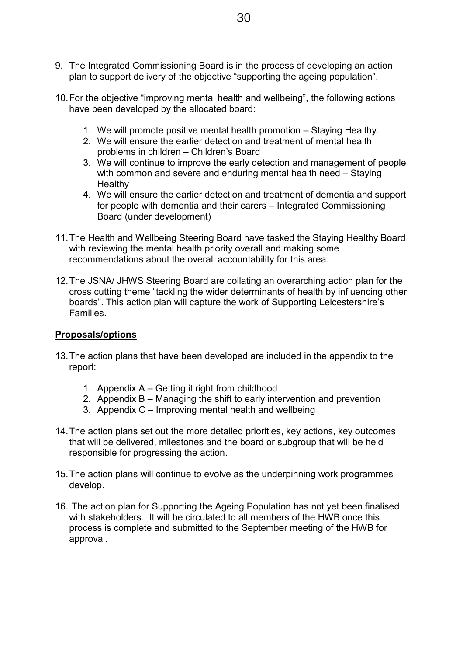- 9. The Integrated Commissioning Board is in the process of developing an action plan to support delivery of the objective "supporting the ageing population".
- 10. For the objective "improving mental health and wellbeing", the following actions have been developed by the allocated board:
	- 1. We will promote positive mental health promotion Staying Healthy.
	- 2. We will ensure the earlier detection and treatment of mental health problems in children – Children's Board
	- 3. We will continue to improve the early detection and management of people with common and severe and enduring mental health need – Staying **Healthy**
	- 4. We will ensure the earlier detection and treatment of dementia and support for people with dementia and their carers – Integrated Commissioning Board (under development)
- 11. The Health and Wellbeing Steering Board have tasked the Staying Healthy Board with reviewing the mental health priority overall and making some recommendations about the overall accountability for this area.
- 12. The JSNA/ JHWS Steering Board are collating an overarching action plan for the cross cutting theme "tackling the wider determinants of health by influencing other boards". This action plan will capture the work of Supporting Leicestershire's Families.

### Proposals/options

- 13. The action plans that have been developed are included in the appendix to the report:
	- 1. Appendix A Getting it right from childhood
	- 2. Appendix B Managing the shift to early intervention and prevention
	- 3. Appendix C Improving mental health and wellbeing
- 14. The action plans set out the more detailed priorities, key actions, key outcomes that will be delivered, milestones and the board or subgroup that will be held responsible for progressing the action.
- 15. The action plans will continue to evolve as the underpinning work programmes develop.
- 16. The action plan for Supporting the Ageing Population has not yet been finalised with stakeholders. It will be circulated to all members of the HWB once this process is complete and submitted to the September meeting of the HWB for approval.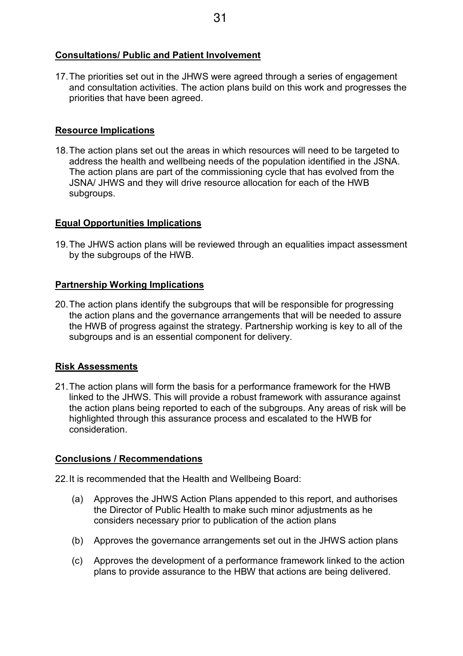## Consultations/ Public and Patient Involvement

17. The priorities set out in the JHWS were agreed through a series of engagement and consultation activities. The action plans build on this work and progresses the priorities that have been agreed.

## Resource Implications

18. The action plans set out the areas in which resources will need to be targeted to address the health and wellbeing needs of the population identified in the JSNA. The action plans are part of the commissioning cycle that has evolved from the JSNA/ JHWS and they will drive resource allocation for each of the HWB subgroups.

## Equal Opportunities Implications

19. The JHWS action plans will be reviewed through an equalities impact assessment by the subgroups of the HWB.

## Partnership Working Implications

20. The action plans identify the subgroups that will be responsible for progressing the action plans and the governance arrangements that will be needed to assure the HWB of progress against the strategy. Partnership working is key to all of the subgroups and is an essential component for delivery.

# Risk Assessments

21. The action plans will form the basis for a performance framework for the HWB linked to the JHWS. This will provide a robust framework with assurance against the action plans being reported to each of the subgroups. Any areas of risk will be highlighted through this assurance process and escalated to the HWB for consideration.

# Conclusions / Recommendations

- 22. It is recommended that the Health and Wellbeing Board:
	- (a) Approves the JHWS Action Plans appended to this report, and authorises the Director of Public Health to make such minor adjustments as he considers necessary prior to publication of the action plans
	- (b) Approves the governance arrangements set out in the JHWS action plans
	- (c) Approves the development of a performance framework linked to the action plans to provide assurance to the HBW that actions are being delivered.